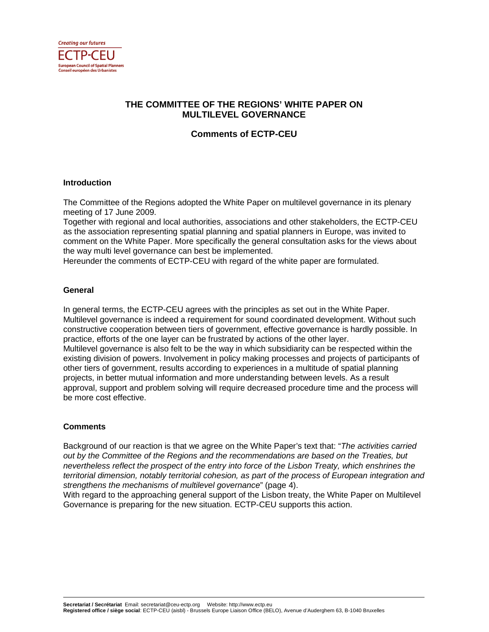

# **THE COMMITTEE OF THE REGIONS' WHITE PAPER ON MULTILEVEL GOVERNANCE**

**Comments of ECTP-CEU** 

### **Introduction**

The Committee of the Regions adopted the White Paper on multilevel governance in its plenary meeting of 17 June 2009.

Together with regional and local authorities, associations and other stakeholders, the ECTP-CEU as the association representing spatial planning and spatial planners in Europe, was invited to comment on the White Paper. More specifically the general consultation asks for the views about the way multi level governance can best be implemented.

Hereunder the comments of ECTP-CEU with regard of the white paper are formulated.

### **General**

In general terms, the ECTP-CEU agrees with the principles as set out in the White Paper. Multilevel governance is indeed a requirement for sound coordinated development. Without such constructive cooperation between tiers of government, effective governance is hardly possible. In practice, efforts of the one layer can be frustrated by actions of the other layer. Multilevel governance is also felt to be the way in which subsidiarity can be respected within the existing division of powers. Involvement in policy making processes and projects of participants of other tiers of government, results according to experiences in a multitude of spatial planning projects, in better mutual information and more understanding between levels. As a result approval, support and problem solving will require decreased procedure time and the process will be more cost effective.

## **Comments**

Background of our reaction is that we agree on the White Paper's text that: "The activities carried out by the Committee of the Regions and the recommendations are based on the Treaties, but nevertheless reflect the prospect of the entry into force of the Lisbon Treaty, which enshrines the territorial dimension, notably territorial cohesion, as part of the process of European integration and strengthens the mechanisms of multilevel governance" (page 4).

With regard to the approaching general support of the Lisbon treaty, the White Paper on Multilevel Governance is preparing for the new situation. ECTP-CEU supports this action.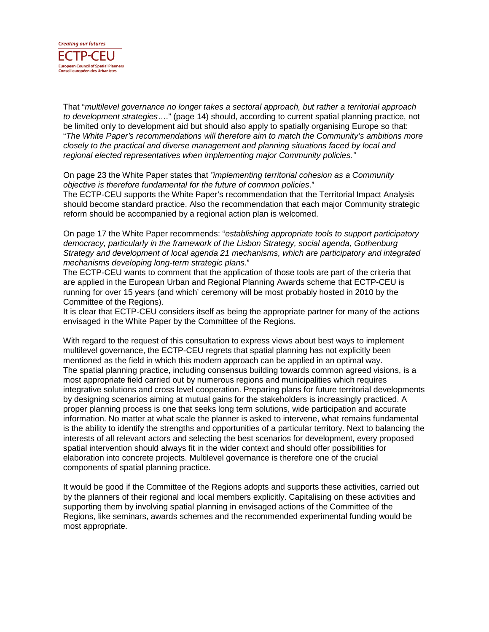

That "multilevel governance no longer takes a sectoral approach, but rather a territorial approach to development strategies…." (page 14) should, according to current spatial planning practice, not be limited only to development aid but should also apply to spatially organising Europe so that: "The White Paper's recommendations will therefore aim to match the Community's ambitions more closely to the practical and diverse management and planning situations faced by local and regional elected representatives when implementing major Community policies."

On page 23 the White Paper states that "implementing territorial cohesion as a Community objective is therefore fundamental for the future of common policies."

The ECTP-CEU supports the White Paper's recommendation that the Territorial Impact Analysis should become standard practice. Also the recommendation that each major Community strategic reform should be accompanied by a regional action plan is welcomed.

On page 17 the White Paper recommends: "establishing appropriate tools to support participatory democracy, particularly in the framework of the Lisbon Strategy, social agenda, Gothenburg Strategy and development of local agenda 21 mechanisms, which are participatory and integrated mechanisms developing long-term strategic plans."

The ECTP-CEU wants to comment that the application of those tools are part of the criteria that are applied in the European Urban and Regional Planning Awards scheme that ECTP-CEU is running for over 15 years (and which' ceremony will be most probably hosted in 2010 by the Committee of the Regions).

It is clear that ECTP-CEU considers itself as being the appropriate partner for many of the actions envisaged in the White Paper by the Committee of the Regions.

With regard to the request of this consultation to express views about best ways to implement multilevel governance, the ECTP-CEU regrets that spatial planning has not explicitly been mentioned as the field in which this modern approach can be applied in an optimal way. The spatial planning practice, including consensus building towards common agreed visions, is a most appropriate field carried out by numerous regions and municipalities which requires integrative solutions and cross level cooperation. Preparing plans for future territorial developments by designing scenarios aiming at mutual gains for the stakeholders is increasingly practiced. A proper planning process is one that seeks long term solutions, wide participation and accurate information. No matter at what scale the planner is asked to intervene, what remains fundamental is the ability to identify the strengths and opportunities of a particular territory. Next to balancing the interests of all relevant actors and selecting the best scenarios for development, every proposed spatial intervention should always fit in the wider context and should offer possibilities for elaboration into concrete projects. Multilevel governance is therefore one of the crucial components of spatial planning practice.

It would be good if the Committee of the Regions adopts and supports these activities, carried out by the planners of their regional and local members explicitly. Capitalising on these activities and supporting them by involving spatial planning in envisaged actions of the Committee of the Regions, like seminars, awards schemes and the recommended experimental funding would be most appropriate.